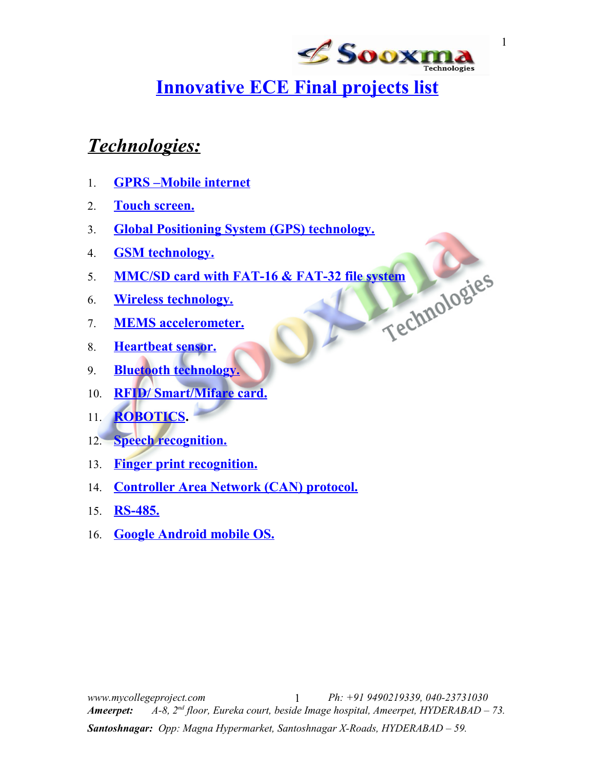

# **Innovative ECE Final projects list**

# *Technologies:*

- 1. **[GPRS –Mobile internet](#page-4-1)**
- 2. **[Touch screen.](#page-3-0)**
- 3. Global Positioning System (GPS) technology.
- 4. **[GSM technology.](#page-6-0)**
- 5. **MMC/SD card with FAT-16 & FAT-32 file system**<br>6. **Wireless technology.**<br>7. **MEMS accelerometer.**<br>8. Hearth
- 6. **[Wireless technology.](#page-9-0)**
- 7. **[MEMS accelerometer.](#page-13-0)**
- 8. **[Heartbeat sensor.](#page-15-1)**
- 9. **[Bluetooth technology.](#page-15-0)**
- 10. **[RFID/ Smart/Mifare card.](#page-8-0)**
- 11. **[ROBOTICS.](#page-10-0)**
- 12. **[Speech recognition.](#page-14-0)**
- 13. **[Finger print recognition.](#page-16-3)**
- 14. Controller Area Network (CAN) protocol.
- 15. **[RS-485.](#page-16-1)**
- 16. **[Google Android mobile OS.](#page-16-0)**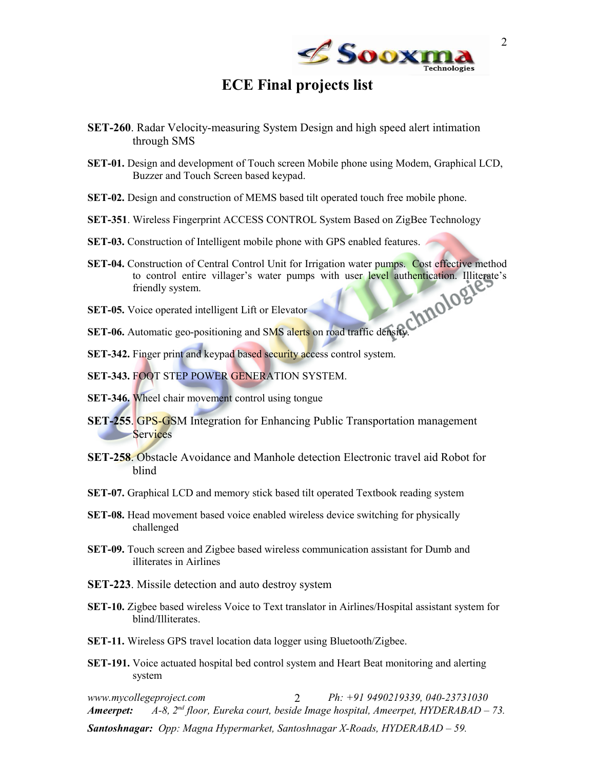

### <span id="page-1-0"></span>**ECE Final projects list**

- **SET-260**. Radar Velocity-measuring System Design and high speed alert intimation through SMS
- **SET-01.** Design and development of Touch screen Mobile phone using Modem, Graphical LCD, Buzzer and Touch Screen based keypad.
- **SET-02.** Design and construction of MEMS based tilt operated touch free mobile phone.
- **SET-351**. Wireless Fingerprint ACCESS CONTROL System Based on ZigBee Technology
- **SET-03.** Construction of Intelligent mobile phone with GPS enabled features.
- **SET-04.** Construction of Central Control Unit for Irrigation water pumps. Cost effective method to control entire villager's water pumps with user level authentication. Illiterate's friendly system.
- **SET-05.** Voice operated intelligent Lift or Elevator
- **SET-06.** Automatic geo-positioning and SMS alerts on road traffic density.
- **SET-342.** Finger print and keypad based security access control system.
- **SET-343.** FOOT STEP POWER GENERATION SYSTEM.
- **SET-346.** Wheel chair movement control using tongue
- **SET-255.** GPS-GSM Integration for Enhancing Public Transportation management **Services**
- **SET-258**. Obstacle Avoidance and Manhole detection Electronic travel aid Robot for blind
- **SET-07.** Graphical LCD and memory stick based tilt operated Textbook reading system
- **SET-08.** Head movement based voice enabled wireless device switching for physically challenged
- **SET-09.** Touch screen and Zigbee based wireless communication assistant for Dumb and illiterates in Airlines
- **SET-223**. Missile detection and auto destroy system
- **SET-10.** Zigbee based wireless Voice to Text translator in Airlines/Hospital assistant system for blind/Illiterates.
- **SET-11.** Wireless GPS travel location data logger using Bluetooth/Zigbee.
- **SET-191.** Voice actuated hospital bed control system and Heart Beat monitoring and alerting system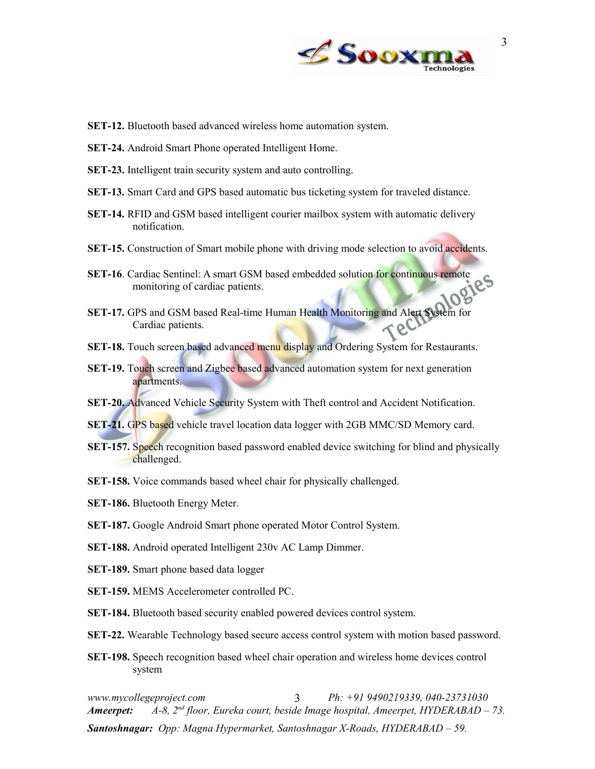

- **SET-12.** Bluetooth based advanced wireless home automation system.
- **SET-24.** Android Smart Phone operated Intelligent Home.
- **SET-23.** Intelligent train security system and auto controlling.
- **SET-13.** Smart Card and GPS based automatic bus ticketing system for traveled distance.
- **SET-14.** RFID and GSM based intelligent courier mailbox system with automatic delivery notification.
- **SET-15.** Construction of Smart mobile phone with driving mode selection to avoid accidents.
- **SET-16**. Cardiac Sentinel: A smart GSM based embedded solution for continuous remote monitoring of cardiac patients.
- **SET-17.** GPS and GSM based Real-time Human Health Monitoring and Alert System for Cardiac patients.
- **SET-18.** Touch screen based advanced menu display and Ordering System for Restaurants.
- **SET-19.** Touch screen and Zigbee based advanced automation system for next generation apartments.
- **SET-20.** Advanced Vehicle Security System with Theft control and Accident Notification.
- **SET-21.** GPS based vehicle travel location data logger with 2GB MMC/SD Memory card.
- **SET-157.** Speech recognition based password enabled device switching for blind and physically challenged.
- **SET-158.** Voice commands based wheel chair for physically challenged.
- **SET-186.** Bluetooth Energy Meter.
- **SET-187.** Google Android Smart phone operated Motor Control System.
- **SET-188.** Android operated Intelligent 230v AC Lamp Dimmer.
- **SET-189.** Smart phone based data logger
- **SET-159.** MEMS Accelerometer controlled PC.
- **SET-184.** Bluetooth based security enabled powered devices control system.
- **SET-22.** Wearable Technology based secure access control system with motion based password.
- **SET-198.** Speech recognition based wheel chair operation and wireless home devices control system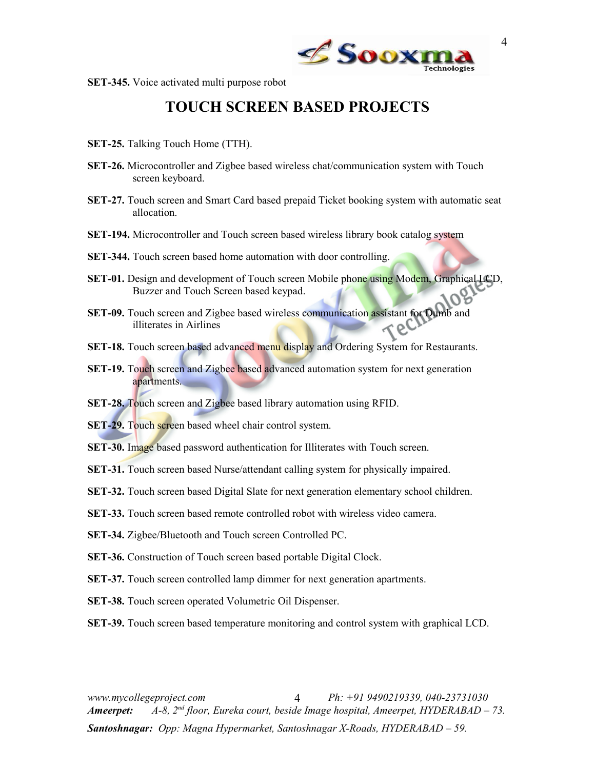

4

**SET-345.** Voice activated multi purpose robot

### <span id="page-3-0"></span>**TOUCH SCREEN BASED PROJECTS**

- **SET-25.** Talking Touch Home (TTH).
- **SET-26.** Microcontroller and Zigbee based wireless chat/communication system with Touch screen keyboard.
- **SET-27.** Touch screen and Smart Card based prepaid Ticket booking system with automatic seat allocation.
- **SET-194.** Microcontroller and Touch screen based wireless library book catalog system
- **SET-344.** Touch screen based home automation with door controlling.
- **SET-01.** Design and development of Touch screen Mobile phone using Modem, Graphical LCD, Buzzer and Touch Screen based keypad.
- **SET-09.** Touch screen and Zigbee based wireless communication assistant for Dumb and illiterates in Airlines
- **SET-18.** Touch screen based advanced menu display and Ordering System for Restaurants.
- **SET-19.** Touch screen and Zigbee based advanced automation system for next generation apartments.
- **SET-28.** Touch screen and Zigbee based library automation using RFID.
- **SET-29.** Touch screen based wheel chair control system.
- **SET-30.** Image based password authentication for Illiterates with Touch screen.
- **SET-31.** Touch screen based Nurse/attendant calling system for physically impaired.
- **SET-32.** Touch screen based Digital Slate for next generation elementary school children.
- **SET-33.** Touch screen based remote controlled robot with wireless video camera.
- **SET-34.** Zigbee/Bluetooth and Touch screen Controlled PC.
- **SET-36.** Construction of Touch screen based portable Digital Clock.
- **SET-37.** Touch screen controlled lamp dimmer for next generation apartments.
- **SET-38.** Touch screen operated Volumetric Oil Dispenser.
- **SET-39.** Touch screen based temperature monitoring and control system with graphical LCD.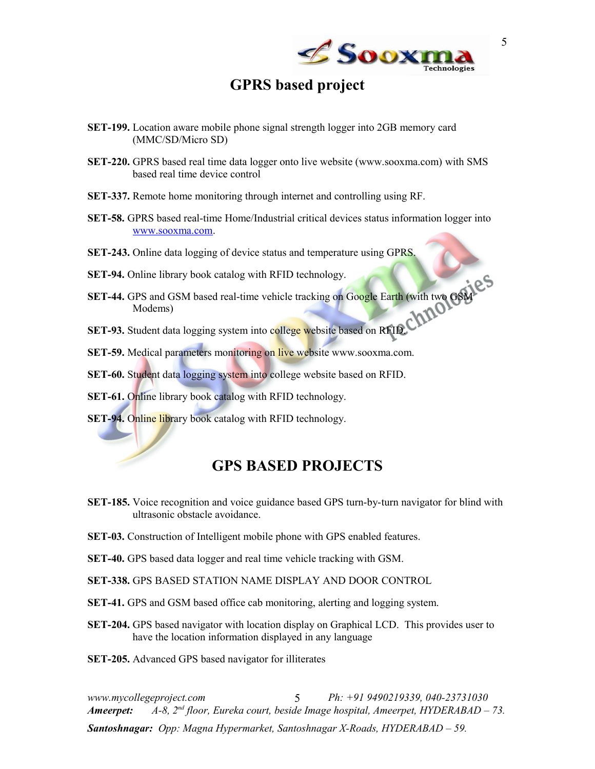

### <span id="page-4-1"></span>**GPRS based project**

- **SET-199.** Location aware mobile phone signal strength logger into 2GB memory card (MMC/SD/Micro SD)
- **SET-220.** GPRS based real time data logger onto live website (www.sooxma.com) with SMS based real time device control
- **SET-337.** Remote home monitoring through internet and controlling using RF.
- **SET-58.** GPRS based real-time Home/Industrial critical devices status information logger into [www.sooxma.com.](http://www.sooxma.com/)
- **SET-243.** Online data logging of device status and temperature using GPRS.
- **SET-94.** Online library book catalog with RFID technology.
- **SET-44.** GPS and GSM based real-time vehicle tracking on Google Earth (with two GSM Modems)
- **SET-93.** Student data logging system into college website based on RFID.
- **SET-59.** Medical parameters monitoring on live website www.sooxma.com.
- **SET-60.** Student data logging system into college website based on RFID.
- **SET-61.** Online library book catalog with RFID technology.
- **SET-94.** Online library book catalog with RFID technology.

### <span id="page-4-0"></span>**GPS BASED PROJECTS**

- **SET-185.** Voice recognition and voice guidance based GPS turn-by-turn navigator for blind with ultrasonic obstacle avoidance.
- **SET-03.** Construction of Intelligent mobile phone with GPS enabled features.
- **SET-40.** GPS based data logger and real time vehicle tracking with GSM.
- **SET-338.** GPS BASED STATION NAME DISPLAY AND DOOR CONTROL
- **SET-41.** GPS and GSM based office cab monitoring, alerting and logging system.
- **SET-204.** GPS based navigator with location display on Graphical LCD. This provides user to have the location information displayed in any language

**SET-205.** Advanced GPS based navigator for illiterates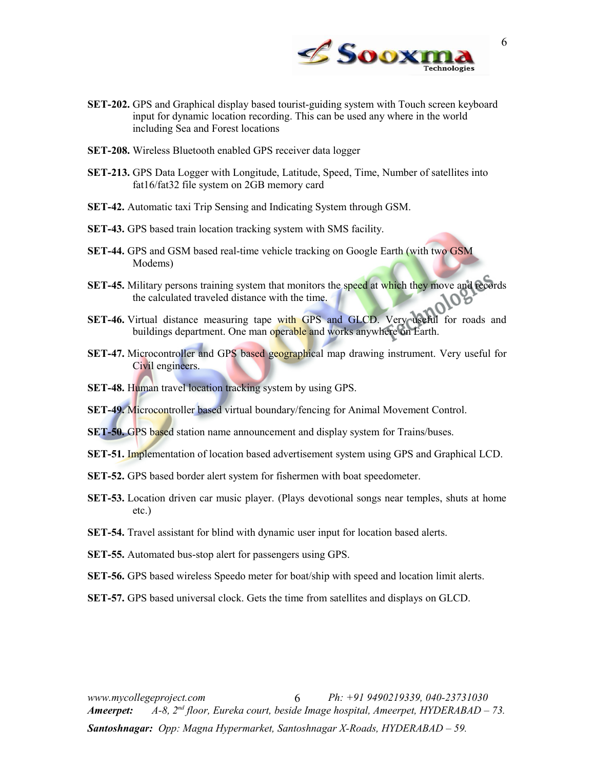

- **SET-202.** GPS and Graphical display based tourist-guiding system with Touch screen keyboard input for dynamic location recording. This can be used any where in the world including Sea and Forest locations
- **SET-208.** Wireless Bluetooth enabled GPS receiver data logger
- **SET-213.** GPS Data Logger with Longitude, Latitude, Speed, Time, Number of satellites into fat16/fat32 file system on 2GB memory card
- **SET-42.** Automatic taxi Trip Sensing and Indicating System through GSM.
- **SET-43.** GPS based train location tracking system with SMS facility.
- **SET-44.** GPS and GSM based real-time vehicle tracking on Google Earth (with two GSM Modems)
- **SET-45.** Military persons training system that monitors the speed at which they move and records the calculated traveled distance with the time.
- **SET-46.** Virtual distance measuring tape with GPS and GLCD. Very useful for roads and buildings department. One man operable and works anywhere on Earth.
- **SET-47.** Microcontroller and GPS based geographical map drawing instrument. Very useful for Civil engineers.
- **SET-48.** Human travel location tracking system by using GPS.
- **SET-49.** Microcontroller based virtual boundary/fencing for Animal Movement Control.
- **SET-50.** GPS based station name announcement and display system for Trains/buses.
- **SET-51.** Implementation of location based advertisement system using GPS and Graphical LCD.
- **SET-52.** GPS based border alert system for fishermen with boat speedometer.
- **SET-53.** Location driven car music player. (Plays devotional songs near temples, shuts at home etc.)
- **SET-54.** Travel assistant for blind with dynamic user input for location based alerts.
- **SET-55.** Automated bus-stop alert for passengers using GPS.
- **SET-56.** GPS based wireless Speedo meter for boat/ship with speed and location limit alerts.
- **SET-57.** GPS based universal clock. Gets the time from satellites and displays on GLCD.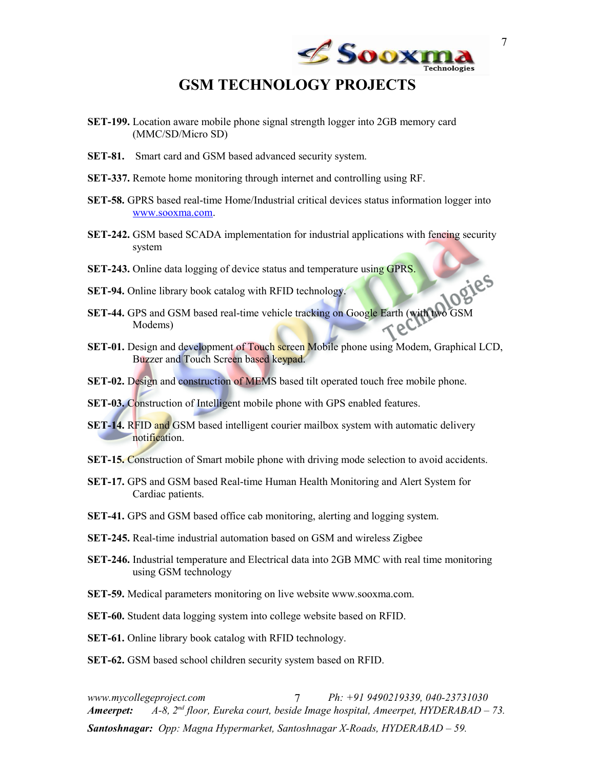

### <span id="page-6-0"></span>**GSM TECHNOLOGY PROJECTS**

- **SET-199.** Location aware mobile phone signal strength logger into 2GB memory card (MMC/SD/Micro SD)
- **SET-81.** Smart card and GSM based advanced security system.
- **SET-337.** Remote home monitoring through internet and controlling using RF.
- **SET-58.** GPRS based real-time Home/Industrial critical devices status information logger into [www.sooxma.com.](http://www.sooxma.com/)
- **SET-242.** GSM based SCADA implementation for industrial applications with fencing security system
- **SET-243.** Online data logging of device status and temperature using GPRS.
- **SET-94.** Online library book catalog with RFID technology.
- **SET-44.** GPS and GSM based real-time vehicle tracking on Google Earth (with two GSM Modems)
- **SET-01.** Design and development of Touch screen Mobile phone using Modem, Graphical LCD, Buzzer and Touch Screen based keypad.
- **SET-02.** Design and construction of MEMS based tilt operated touch free mobile phone.
- **SET-03.** Construction of Intelligent mobile phone with GPS enabled features.
- **SET-14.** RFID and GSM based intelligent courier mailbox system with automatic delivery notification.
- **SET-15.** Construction of Smart mobile phone with driving mode selection to avoid accidents.
- **SET-17.** GPS and GSM based Real-time Human Health Monitoring and Alert System for Cardiac patients.
- **SET-41.** GPS and GSM based office cab monitoring, alerting and logging system.
- **SET-245.** Real-time industrial automation based on GSM and wireless Zigbee
- **SET-246.** Industrial temperature and Electrical data into 2GB MMC with real time monitoring using GSM technology
- **SET-59.** Medical parameters monitoring on live website www.sooxma.com.
- **SET-60.** Student data logging system into college website based on RFID.
- **SET-61.** Online library book catalog with RFID technology.
- **SET-62.** GSM based school children security system based on RFID.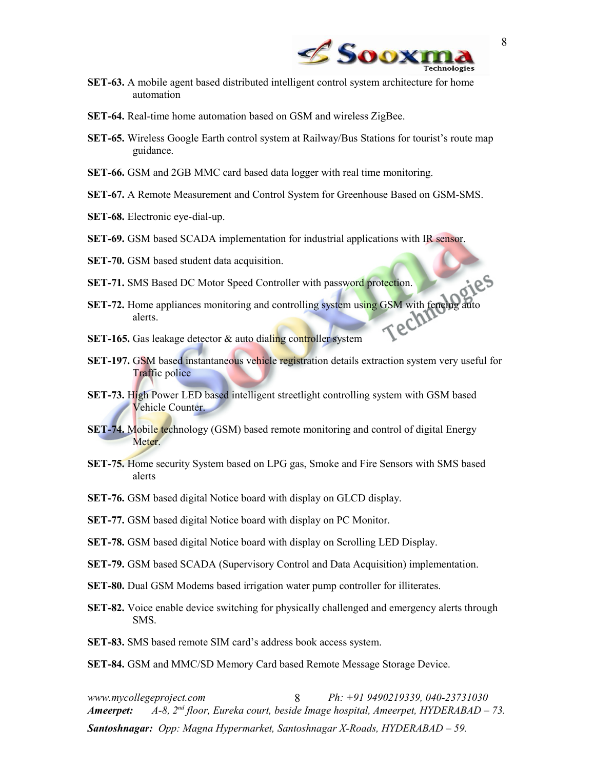

- **SET-63.** A mobile agent based distributed intelligent control system architecture for home automation
- **SET-64.** Real-time home automation based on GSM and wireless ZigBee.
- **SET-65.** Wireless Google Earth control system at Railway/Bus Stations for tourist's route map guidance.
- **SET-66.** GSM and 2GB MMC card based data logger with real time monitoring.
- **SET-67.** A Remote Measurement and Control System for Greenhouse Based on GSM-SMS.
- **SET-68.** Electronic eye-dial-up.
- **SET-69.** GSM based SCADA implementation for industrial applications with IR sensor.
- **SET-70.** GSM based student data acquisition.
- **SET-71.** SMS Based DC Motor Speed Controller with password protection.
- **SET-72.** Home appliances monitoring and controlling system using GSM with fencing au<br>alerts. alerts.
- **SET-165.** Gas leakage detector & auto dialing controller system
- **SET-197.** GSM based instantaneous vehicle registration details extraction system very useful for Traffic police
- **SET-73.** High Power LED based intelligent streetlight controlling system with GSM based Vehicle Counter.
- **SET-74.** Mobile technology (GSM) based remote monitoring and control of digital Energy Meter.
- **SET-75.** Home security System based on LPG gas, Smoke and Fire Sensors with SMS based alerts
- **SET-76.** GSM based digital Notice board with display on GLCD display.
- **SET-77.** GSM based digital Notice board with display on PC Monitor.
- **SET-78.** GSM based digital Notice board with display on Scrolling LED Display.
- **SET-79.** GSM based SCADA (Supervisory Control and Data Acquisition) implementation.
- **SET-80.** Dual GSM Modems based irrigation water pump controller for illiterates.
- **SET-82.** Voice enable device switching for physically challenged and emergency alerts through SMS.
- **SET-83.** SMS based remote SIM card's address book access system.

**SET-84.** GSM and MMC/SD Memory Card based Remote Message Storage Device.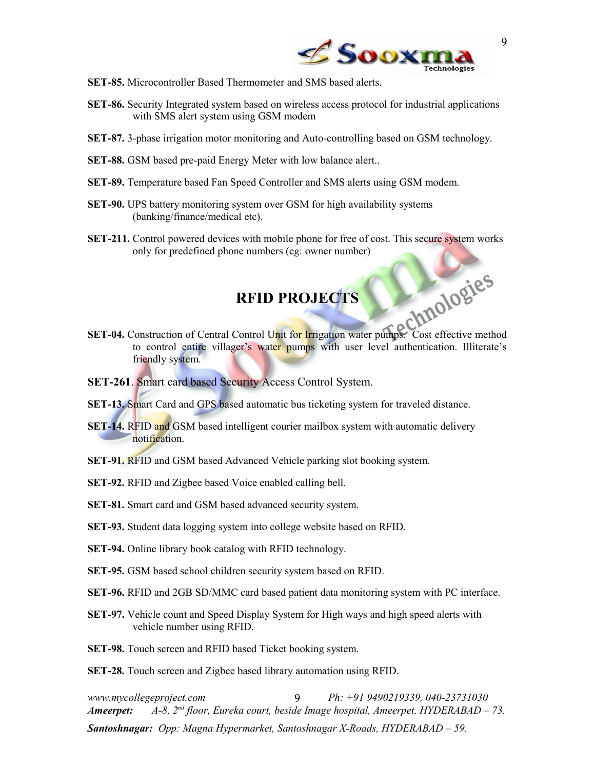

- **SET-85.** Microcontroller Based Thermometer and SMS based alerts.
- **SET-86.** Security Integrated system based on wireless access protocol for industrial applications with SMS alert system using GSM modem
- **SET-87.** 3-phase irrigation motor monitoring and Auto-controlling based on GSM technology.
- **SET-88.** GSM based pre-paid Energy Meter with low balance alert..
- **SET-89.** Temperature based Fan Speed Controller and SMS alerts using GSM modem.
- **SET-90.** UPS battery monitoring system over GSM for high availability systems (banking/finance/medical etc).
- **SET-211.** Control powered devices with mobile phone for free of cost. This secure system works only for predefined phone numbers (eg: owner number)

### <span id="page-8-0"></span>**RFID PROJECTS**

- **SET-04.** Construction of Central Control Unit for Irrigation water pumps. Cost effective method to control entire villager's water pumps with user level authentication. Illiterate's friendly system.
- **SET-261**. Smart card based Security Access Control System.
- **SET-13.** Smart Card and GPS based automatic bus ticketing system for traveled distance.
- **SET-14.** RFID and GSM based intelligent courier mailbox system with automatic delivery notification.
- **SET-91.** RFID and GSM based Advanced Vehicle parking slot booking system.
- **SET-92.** RFID and Zigbee based Voice enabled calling bell.
- **SET-81.** Smart card and GSM based advanced security system.
- **SET-93.** Student data logging system into college website based on RFID.
- **SET-94.** Online library book catalog with RFID technology.
- **SET-95.** GSM based school children security system based on RFID.
- **SET-96.** RFID and 2GB SD/MMC card based patient data monitoring system with PC interface.
- **SET-97.** Vehicle count and Speed Display System for High ways and high speed alerts with vehicle number using RFID.
- **SET-98.** Touch screen and RFID based Ticket booking system.

**SET-28.** Touch screen and Zigbee based library automation using RFID.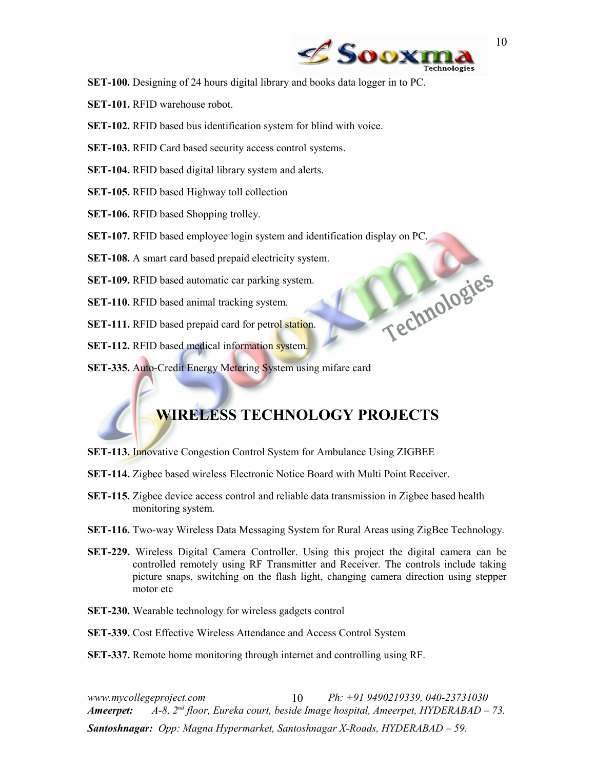

Technologies

- **SET-100.** Designing of 24 hours digital library and books data logger in to PC.
- **SET-101.** RFID warehouse robot.
- **SET-102.** RFID based bus identification system for blind with voice.
- **SET-103.** RFID Card based security access control systems.
- **SET-104.** RFID based digital library system and alerts.
- **SET-105.** RFID based Highway toll collection
- **SET-106.** RFID based Shopping trolley.
- **SET-107.** RFID based employee login system and identification display on PC.
- **SET-108.** A smart card based prepaid electricity system.
- **SET-109.** RFID based automatic car parking system.
- **SET-110.** RFID based animal tracking system.
- **SET-111.** RFID based prepaid card for petrol station.
- **SET-112.** RFID based medical information system.
- **SET-335.** Auto-Credit Energy Metering System using mifare card

# <span id="page-9-0"></span>**WIRELESS TECHNOLOGY PROJECTS**

- **SET-113.** Innovative Congestion Control System for Ambulance Using ZIGBEE
- **SET-114.** Zigbee based wireless Electronic Notice Board with Multi Point Receiver.
- **SET-115.** Zigbee device access control and reliable data transmission in Zigbee based health monitoring system.
- **SET-116.** Two-way Wireless Data Messaging System for Rural Areas using ZigBee Technology.
- **SET-229.** Wireless Digital Camera Controller. Using this project the digital camera can be controlled remotely using RF Transmitter and Receiver. The controls include taking picture snaps, switching on the flash light, changing camera direction using stepper motor etc
- **SET-230.** Wearable technology for wireless gadgets control
- **SET-339.** Cost Effective Wireless Attendance and Access Control System
- **SET-337.** Remote home monitoring through internet and controlling using RF.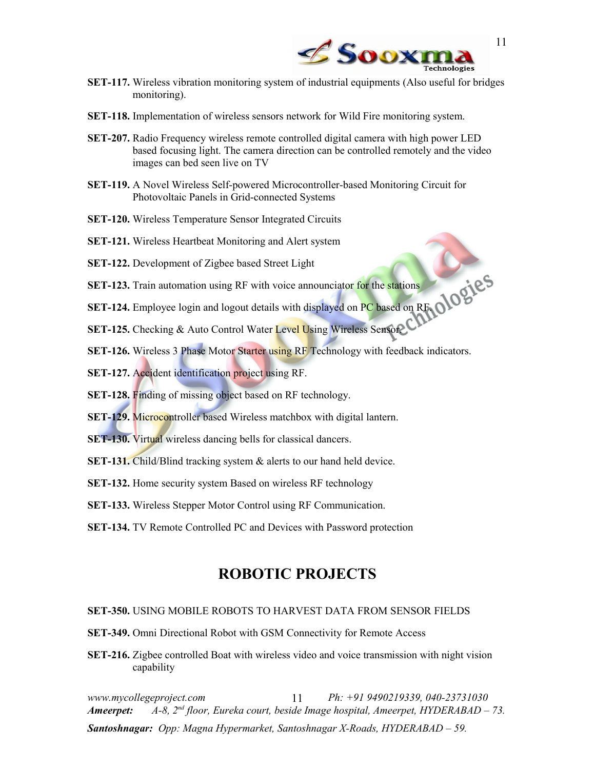

- **SET-117.** Wireless vibration monitoring system of industrial equipments (Also useful for bridges monitoring).
- **SET-118.** Implementation of wireless sensors network for Wild Fire monitoring system.
- **SET-207.** Radio Frequency wireless remote controlled digital camera with high power LED based focusing light. The camera direction can be controlled remotely and the video images can bed seen live on TV
- **SET-119.** A Novel Wireless Self-powered Microcontroller-based Monitoring Circuit for Photovoltaic Panels in Grid-connected Systems
- **SET-120.** Wireless Temperature Sensor Integrated Circuits
- **SET-121.** Wireless Heartbeat Monitoring and Alert system
- **SET-122.** Development of Zigbee based Street Light
- **SET-123.** Train automation using RF with voice announciator for the stations
- **SET-124.** Employee login and logout details with displayed on PC based on RF.
- **SET-125.** Checking & Auto Control Water Level Using Wireless Sensor.
- **SET-126.** Wireless 3 Phase Motor Starter using RF Technology with feedback indicators.
- **SET-127.** Accident identification project using RF.
- **SET-128.** Finding of missing object based on RF technology.
- **SET-129.** Microcontroller based Wireless matchbox with digital lantern.
- **SET-130.** Virtual wireless dancing bells for classical dancers.
- **SET-131.** Child/Blind tracking system & alerts to our hand held device.
- **SET-132.** Home security system Based on wireless RF technology
- **SET-133.** Wireless Stepper Motor Control using RF Communication.
- **SET-134.** TV Remote Controlled PC and Devices with Password protection

### <span id="page-10-0"></span>**ROBOTIC PROJECTS**

### **SET-350.** USING MOBILE ROBOTS TO HARVEST DATA FROM SENSOR FIELDS

- **SET-349.** Omni Directional Robot with GSM Connectivity for Remote Access
- **SET-216.** Zigbee controlled Boat with wireless video and voice transmission with night vision capability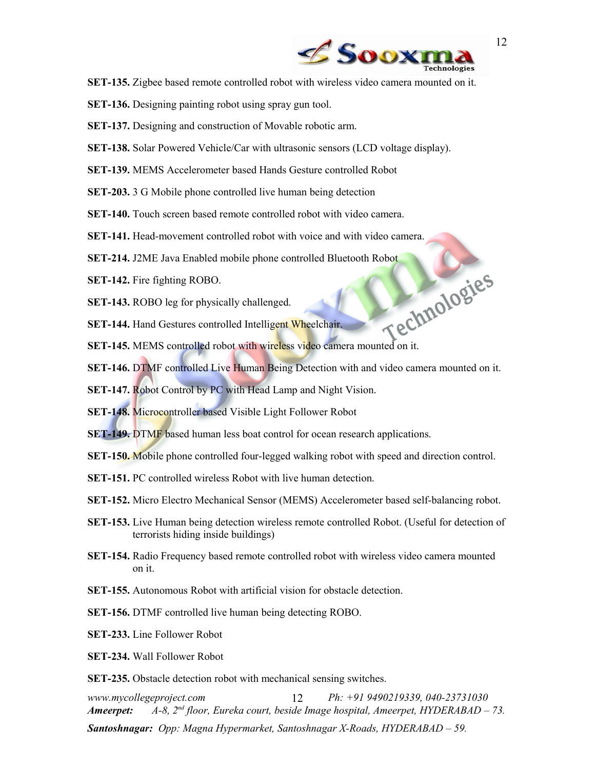

- **SET-135.** Zigbee based remote controlled robot with wireless video camera mounted on it.
- **SET-136.** Designing painting robot using spray gun tool.
- **SET-137.** Designing and construction of Movable robotic arm.
- **SET-138.** Solar Powered Vehicle/Car with ultrasonic sensors (LCD voltage display).
- **SET-139.** MEMS Accelerometer based Hands Gesture controlled Robot
- **SET-203.** 3 G Mobile phone controlled live human being detection
- **SET-140.** Touch screen based remote controlled robot with video camera.
- **SET-141.** Head-movement controlled robot with voice and with video camera.
- 
- **SET-142.** Fire fighting ROBO.
- **SET-143.** ROBO leg for physically challenged.
- **SET-144.** Hand Gestures controlled Intelligent Wheelchair.
- **SET-214.** J2ME Java Enabled mobile phone controlled Bluetooth Robot<br> **SET-142.** Fire fighting ROBO.<br> **SET-144.** Hand Gestures controlled Intellia<br> **SET-145. SET-145.** MEMS controlled robot with wireless video camera mounted on it.
- **SET-146.** DTMF controlled Live Human Being Detection with and video camera mounted on it.
- **SET-147.** Robot Control by PC with Head Lamp and Night Vision.
- **SET-148.** Microcontroller based Visible Light Follower Robot
- **SET-149.** DTMF based human less boat control for ocean research applications.
- **SET-150.** Mobile phone controlled four-legged walking robot with speed and direction control.
- **SET-151.** PC controlled wireless Robot with live human detection.
- **SET-152.** Micro Electro Mechanical Sensor (MEMS) Accelerometer based self-balancing robot.
- **SET-153.** Live Human being detection wireless remote controlled Robot. (Useful for detection of terrorists hiding inside buildings)
- **SET-154.** Radio Frequency based remote controlled robot with wireless video camera mounted on it.
- **SET-155.** Autonomous Robot with artificial vision for obstacle detection.
- **SET-156.** DTMF controlled live human being detecting ROBO.
- **SET-233.** Line Follower Robot
- **SET-234.** Wall Follower Robot
- **SET-235.** Obstacle detection robot with mechanical sensing switches.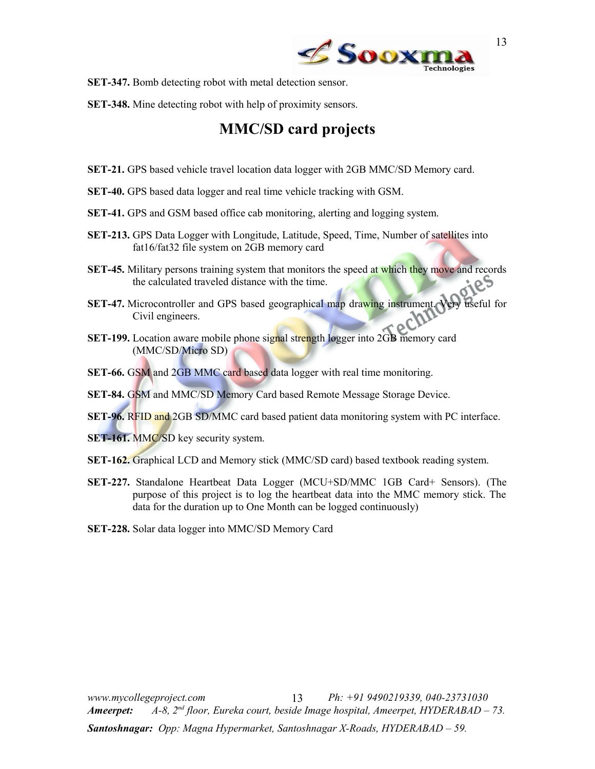

- **SET-347.** Bomb detecting robot with metal detection sensor.
- **SET-348.** Mine detecting robot with help of proximity sensors.

### **MMC/SD card projects**

- **SET-21.** GPS based vehicle travel location data logger with 2GB MMC/SD Memory card.
- **SET-40.** GPS based data logger and real time vehicle tracking with GSM.
- **SET-41.** GPS and GSM based office cab monitoring, alerting and logging system.
- **SET-213.** GPS Data Logger with Longitude, Latitude, Speed, Time, Number of satellites into fat16/fat32 file system on 2GB memory card
- **SET-45.** Military persons training system that monitors the speed at which they move and records the calculated traveled distance with the time.
- **SET-47.** Microcontroller and GPS based geographical map drawing instrument. Very useful for Civil engineers.
- **SET-199.** Location aware mobile phone signal strength logger into 2GB memory card (MMC/SD/Micro SD)
- **SET-66.** GSM and 2GB MMC card based data logger with real time monitoring.
- **SET-84.** GSM and MMC/SD Memory Card based Remote Message Storage Device.
- **SET-96.** RFID and 2GB SD/MMC card based patient data monitoring system with PC interface.
- **SET-161. MMC/SD key security system.**
- **SET-162.** Graphical LCD and Memory stick (MMC/SD card) based textbook reading system.
- **SET-227.** Standalone Heartbeat Data Logger (MCU+SD/MMC 1GB Card+ Sensors). (The purpose of this project is to log the heartbeat data into the MMC memory stick. The data for the duration up to One Month can be logged continuously)
- **SET-228.** Solar data logger into MMC/SD Memory Card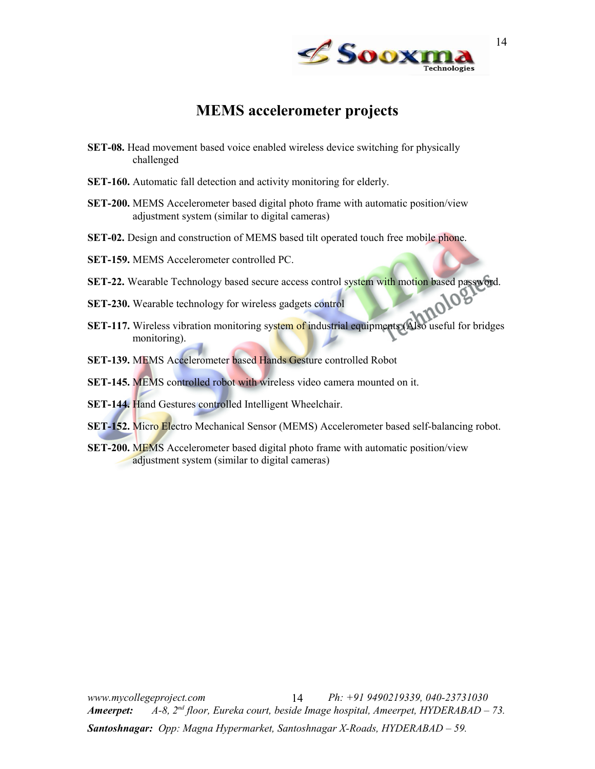

### <span id="page-13-0"></span>**MEMS accelerometer projects**

- **SET-08.** Head movement based voice enabled wireless device switching for physically challenged
- **SET-160.** Automatic fall detection and activity monitoring for elderly.
- **SET-200.** MEMS Accelerometer based digital photo frame with automatic position/view adjustment system (similar to digital cameras)
- **SET-02.** Design and construction of MEMS based tilt operated touch free mobile phone.

**SET-159.** MEMS Accelerometer controlled PC.

- **SET-22.** Wearable Technology based secure access control system with motion based password.<br>**SET-230.** Wearable technology for wireless gadgets control
- **SET-230.** Wearable technology for wireless gadgets control
- **SET-117.** Wireless vibration monitoring system of industrial equipments (Also useful for bridges monitoring).
- **SET-139.** MEMS Accelerometer based Hands Gesture controlled Robot
- **SET-145.** MEMS controlled robot with wireless video camera mounted on it.
- **SET-144.** Hand Gestures controlled Intelligent Wheelchair.
- **SET-152.** Micro Electro Mechanical Sensor (MEMS) Accelerometer based self-balancing robot.
- **SET-200.** MEMS Accelerometer based digital photo frame with automatic position/view adjustment system (similar to digital cameras)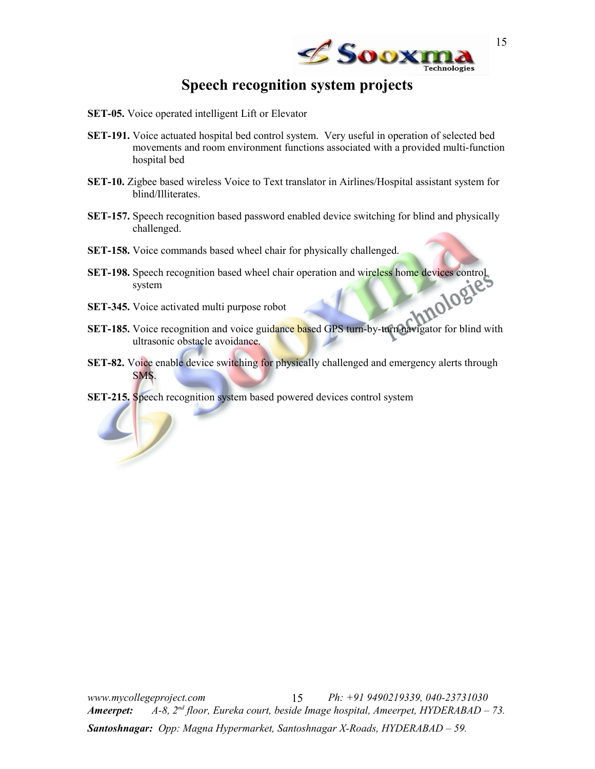

## <span id="page-14-0"></span>**Speech recognition system projects**

- **SET-05.** Voice operated intelligent Lift or Elevator
- **SET-191.** Voice actuated hospital bed control system. Very useful in operation of selected bed movements and room environment functions associated with a provided multi-function hospital bed
- **SET-10.** Zigbee based wireless Voice to Text translator in Airlines/Hospital assistant system for blind/Illiterates.
- **SET-157.** Speech recognition based password enabled device switching for blind and physically challenged.
- **SET-158.** Voice commands based wheel chair for physically challenged.
- **SET-198.** Speech recognition based wheel chair operation and wireless home devices control system
- **SET-345.** Voice activated multi purpose robot
- **SET-185.** Voice recognition and voice guidance based GPS turn-by-turn navigator for blind with ultrasonic obstacle avoidance.
- **SET-82.** Voice enable device switching for physically challenged and emergency alerts through SMS.
- **SET-215.** Speech recognition system based powered devices control system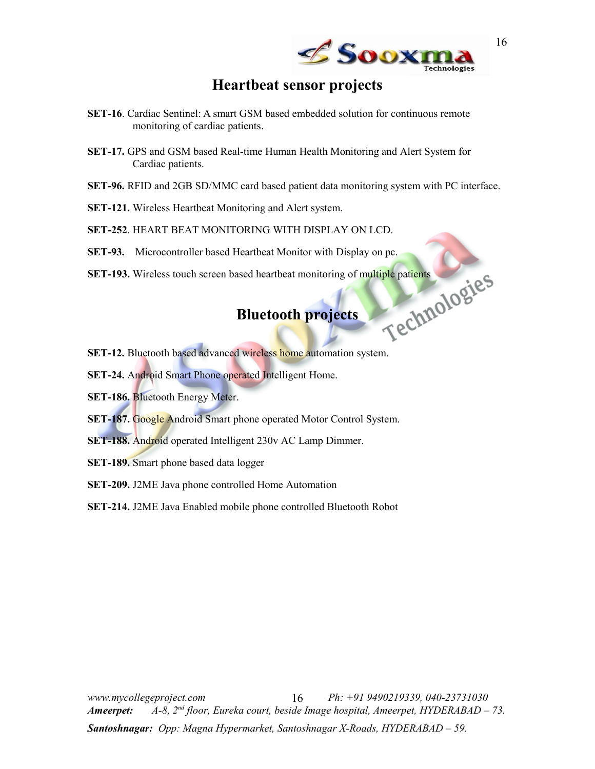

### <span id="page-15-1"></span>**Heartbeat sensor projects**

- **SET-16**. Cardiac Sentinel: A smart GSM based embedded solution for continuous remote monitoring of cardiac patients.
- **SET-17.** GPS and GSM based Real-time Human Health Monitoring and Alert System for Cardiac patients.
- **SET-96.** RFID and 2GB SD/MMC card based patient data monitoring system with PC interface.
- **SET-121.** Wireless Heartbeat Monitoring and Alert system.
- **SET-252**. HEART BEAT MONITORING WITH DISPLAY ON LCD.
- 
- SET-93. Microcontroller based Heartbeat Monitor with Display on pc.<br>SET-193. Wireless touch screen based heartbeat monitoring of multiple patients<br>Bluetooth projects **SET-193.** Wireless touch screen based heartbeat monitoring of multiple patients

### <span id="page-15-0"></span>**Bluetooth projects**

- **SET-12.** Bluetooth based advanced wireless home automation system.
- **SET-24.** Android Smart Phone operated Intelligent Home.
- **SET-186.** Bluetooth Energy Meter.
- **SET-187.** Google Android Smart phone operated Motor Control System.
- **SET-188.** Android operated Intelligent 230v AC Lamp Dimmer.
- **SET-189.** Smart phone based data logger
- **SET-209.** J2ME Java phone controlled Home Automation
- **SET-214.** J2ME Java Enabled mobile phone controlled Bluetooth Robot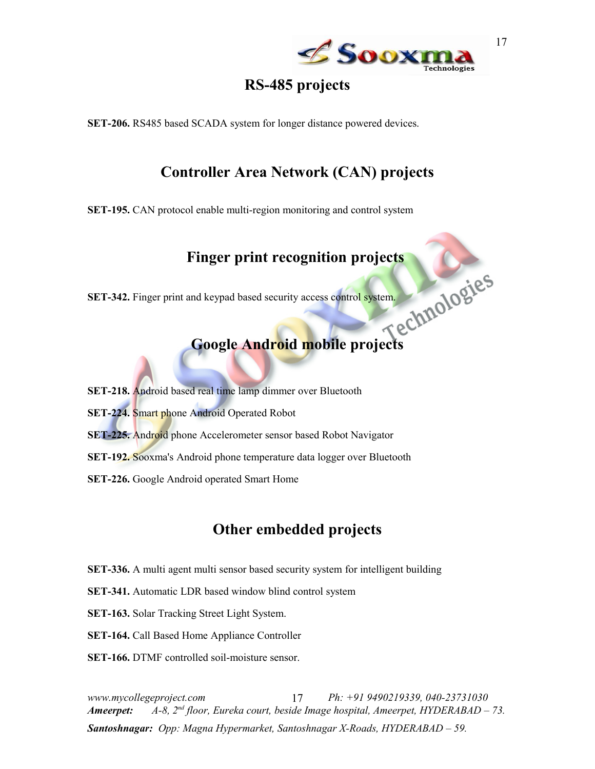

17

### <span id="page-16-1"></span>**RS-485 projects**

**SET-206.** RS485 based SCADA system for longer distance powered devices.

## <span id="page-16-2"></span>**Controller Area Network (CAN) projects**

**SET-195.** CAN protocol enable multi-region monitoring and control system

# <span id="page-16-3"></span>Finger print recognition projects<br>and keypad based security access control system.

**SET-342.** Finger print and keypad based security access control system.

### <span id="page-16-0"></span>**Google Android mobile projects**

- **SET-218.** Android based real time lamp dimmer over Bluetooth
- **SET-224.** Smart phone Android Operated Robot
- **SET-225.** Android phone Accelerometer sensor based Robot Navigator
- **SET-192.** Sooxma's Android phone temperature data logger over Bluetooth
- **SET-226.** Google Android operated Smart Home

### **Other embedded projects**

- **SET-336.** A multi agent multi sensor based security system for intelligent building
- **SET-341.** Automatic LDR based window blind control system
- **SET-163.** Solar Tracking Street Light System.
- **SET-164.** Call Based Home Appliance Controller
- **SET-166.** DTMF controlled soil-moisture sensor.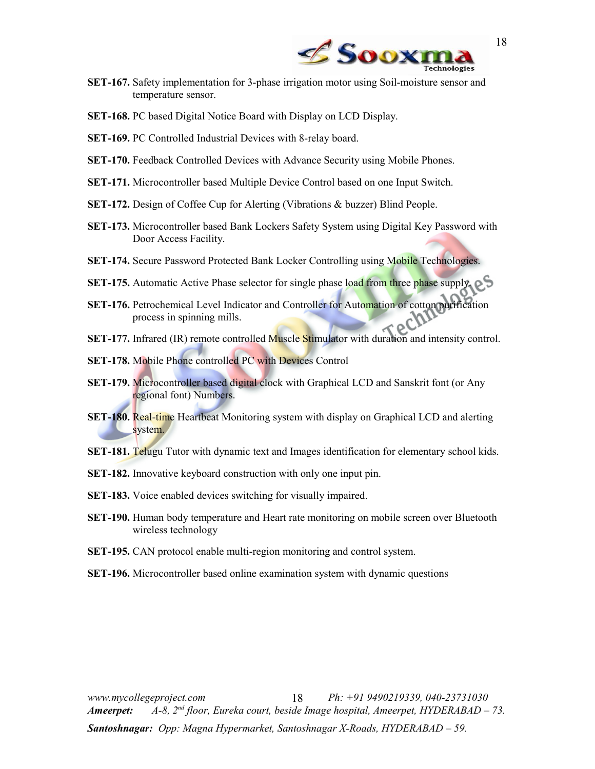

- **SET-167.** Safety implementation for 3-phase irrigation motor using Soil-moisture sensor and temperature sensor.
- **SET-168.** PC based Digital Notice Board with Display on LCD Display.
- **SET-169.** PC Controlled Industrial Devices with 8-relay board.
- **SET-170.** Feedback Controlled Devices with Advance Security using Mobile Phones.
- **SET-171.** Microcontroller based Multiple Device Control based on one Input Switch.
- **SET-172.** Design of Coffee Cup for Alerting (Vibrations & buzzer) Blind People.
- **SET-173.** Microcontroller based Bank Lockers Safety System using Digital Key Password with Door Access Facility.
- **SET-174.** Secure Password Protected Bank Locker Controlling using Mobile Technologies.
- **SET-175.** Automatic Active Phase selector for single phase load from three phase supply.
- **SET-176.** Petrochemical Level Indicator and Controller for Automation of cotton purification process in spinning mills.
- **SET-177.** Infrared (IR) remote controlled Muscle Stimulator with duration and intensity control.
- **SET-178.** Mobile Phone controlled PC with Devices Control
- **SET-179.** Microcontroller based digital clock with Graphical LCD and Sanskrit font (or Any regional font) Numbers.
- **SET-180.** Real-time Heartbeat Monitoring system with display on Graphical LCD and alerting system.
- **SET-181.** Telugu Tutor with dynamic text and Images identification for elementary school kids.
- **SET-182.** Innovative keyboard construction with only one input pin.
- **SET-183.** Voice enabled devices switching for visually impaired.
- **SET-190.** Human body temperature and Heart rate monitoring on mobile screen over Bluetooth wireless technology
- **SET-195.** CAN protocol enable multi-region monitoring and control system.
- **SET-196.** Microcontroller based online examination system with dynamic questions